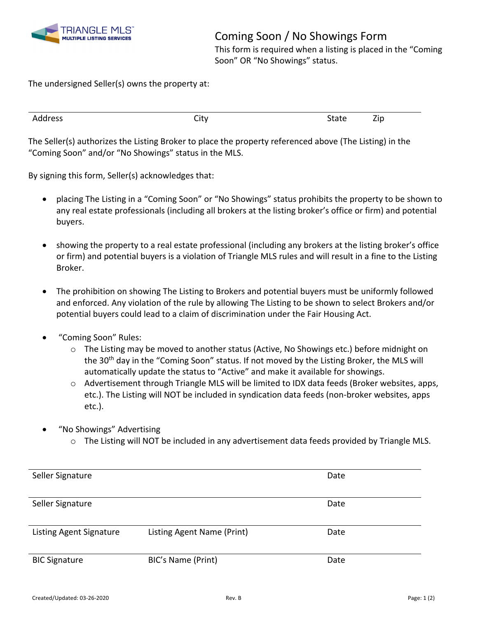

Coming Soon / No Showings Form

This form is required when a listing is placed in the "Coming Soon" OR "No Showings" status.

The undersigned Seller(s) owns the property at:

| $- \cdot$<br>- -<br>Address<br>$+ - + -$<br>City<br>4D<br>oldle |
|-----------------------------------------------------------------|
|-----------------------------------------------------------------|

The Seller(s) authorizes the Listing Broker to place the property referenced above (The Listing) in the "Coming Soon" and/or "No Showings" status in the MLS.

By signing this form, Seller(s) acknowledges that:

- placing The Listing in a "Coming Soon" or "No Showings" status prohibits the property to be shown to any real estate professionals (including all brokers at the listing broker's office or firm) and potential buyers.
- showing the property to a real estate professional (including any brokers at the listing broker's office or firm) and potential buyers is a violation of Triangle MLS rules and will result in a fine to the Listing Broker.
- The prohibition on showing The Listing to Brokers and potential buyers must be uniformly followed and enforced. Any violation of the rule by allowing The Listing to be shown to select Brokers and/or potential buyers could lead to a claim of discrimination under the Fair Housing Act.
- "Coming Soon" Rules:
	- $\circ$  The Listing may be moved to another status (Active, No Showings etc.) before midnight on the 30<sup>th</sup> day in the "Coming Soon" status. If not moved by the Listing Broker, the MLS will automatically update the status to "Active" and make it available for showings.
	- o Advertisement through Triangle MLS will be limited to IDX data feeds (Broker websites, apps, etc.). The Listing will NOT be included in syndication data feeds (non-broker websites, apps etc.).
- "No Showings" Advertising
	- o The Listing will NOT be included in any advertisement data feeds provided by Triangle MLS.

| Seller Signature               |                            | Date |  |
|--------------------------------|----------------------------|------|--|
| Seller Signature               |                            | Date |  |
| <b>Listing Agent Signature</b> | Listing Agent Name (Print) | Date |  |
| <b>BIC Signature</b>           | BIC's Name (Print)         | Date |  |